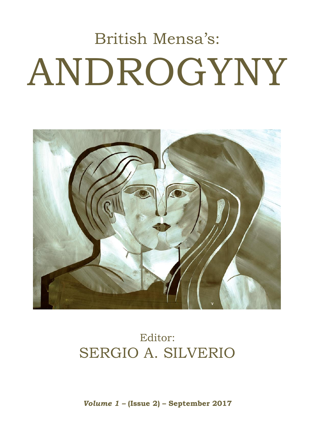# British Mensa's: ANDROGYNY



# Editor: SERGIO A. SILVERIO

*Volume 1 –* **(Issue 2) – September 2017**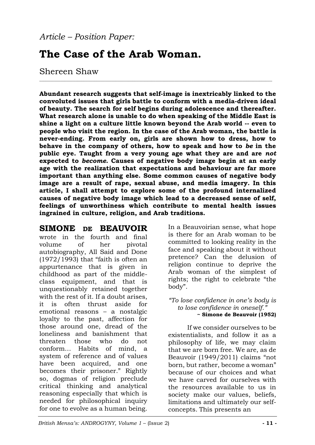## **The Case of the Arab Woman.**

### Shereen Shaw

**Abundant research suggests that self-image is inextricably linked to the convoluted issues that girls battle to conform with a media-driven ideal of beauty. The search for self begins during adolescence and thereafter. What research alone is unable to do when speaking of the Middle East is shine a light on a culture little known beyond the Arab world -- even to people who visit the region. In the case of the Arab woman, the battle is never-ending. From early on, girls are shown how to dress, how to behave in the company of others, how to speak and how to** *be* **in the public eye. Taught from a very young age what they are and are** *not*  **expected to** *become***. Causes of negative body image begin at an early age with the realization that expectations and behaviour are far more important than anything else. Some common causes of negative body image are a result of rape, sexual abuse, and media imagery. In this article, I shall attempt to explore some of the profound internalized causes of negative body image which lead to a decreased sense of self, feelings of unworthiness which contribute to mental health issues ingrained in culture, religion, and Arab traditions.**

\_\_\_\_\_\_\_\_\_\_\_\_\_\_\_\_\_\_\_\_\_\_\_\_\_\_\_\_\_\_\_\_\_\_\_\_\_\_\_\_\_\_\_\_\_\_\_\_\_\_\_\_\_\_\_\_\_\_\_\_\_\_\_\_\_\_\_\_\_\_\_\_\_\_\_\_\_\_\_\_\_\_\_\_\_\_\_\_\_\_\_\_\_\_\_\_\_\_\_\_\_\_\_\_\_\_\_\_\_\_

## **SIMONE DE BEAUVOIR**

wrote in the fourth and final volume of her pivotal autobiography, All Said and Done (1972/1993) that "faith is often an appurtenance that is given in childhood as part of the middleclass equipment, and that is unquestionably retained together with the rest of it. If a doubt arises, it is often thrust aside for emotional reasons – a nostalgic loyalty to the past, affection for those around one, dread of the loneliness and banishment that threaten those who do not conform… Habits of mind, a system of reference and of values have been acquired, and one becomes their prisoner." Rightly so, dogmas of religion preclude critical thinking and analytical reasoning especially that which is needed for philosophical inquiry for one to evolve as a human being.

In a Beauvoirian sense, what hope is there for an Arab woman to be committed to looking reality in the face and speaking about it without pretence? Can the delusion of religion continue to deprive the Arab woman of the simplest of rights; the right to celebrate "the body".

#### *"To lose confidence in one's body is to lose confidence in oneself."* **~ Simone de Beauvoir (1952)**

If we consider ourselves to be existentialists, and follow it as a philosophy of life, we may claim that we are born free. We are, as de Beauvoir (1949/2011) claims "not born, but rather, become a woman" because of our choices and what we have carved for ourselves with the resources available to us in society make our values, beliefs, limitations and ultimately our selfconcepts. This presents an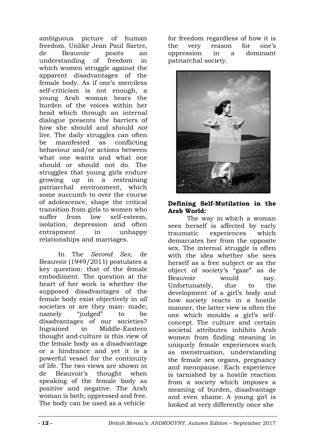ambiguous picture of human freedom. Unlike Jean Paul Sartre, de Beauvoir posits an understanding of freedom in which women struggle against the apparent disadvantages of the female body. As if one's merciless self-criticism is not enough, a young Arab woman bears the burden of the voices within her head which through an internal dialogue presents the barriers of how she should and should *not*  live. The daily struggles can often be manifested as conflicting behaviour and/or actions between what one wants and what one should or should not do. The struggles that young girls endure growing up in a restraining patriarchal environment, which some succumb to over the course of adolescence, shape the critical transition from girls to women who suffer from low self-esteem, isolation, depression and often entrapment in unhappy relationships and marriages.

In The *Second Sex*, de Beauvoir (1949/2011) postulates a key question: that of the female embodiment. The question at the heart of her work is whether the supposed disadvantages of the female body exist objectively in *all*  societies or are they man- made; namely "judged" to be disadvantages of our societies? Ingrained in Middle-Eastern thought and culture is this view of the female body as a disadvantage or a hindrance and yet it is a powerful vessel for the continuity of life. The two views are shown in de Beauvoir's thought when speaking of the female body as positive and negative. The Arab woman is both; oppressed and free. The body can be used as a vehicle

for freedom regardless of how it is the very reason for one's oppression in a dominant patriarchal society.



#### **Defining Self-Mutilation in the Arab World:**

The way in which a woman sees herself is affected by early traumatic experiences which demarcates her from the opposite sex. The internal struggle is often with the idea whether she sees herself as a free subject or as the object of society's "gaze" as de Beauvoir would say. Unfortunately, due to the development of a girl's body and how society reacts in a hostile manner, the latter view is often the one which moulds a girl's selfconcept. The culture and certain societal attributes inhibits Arab women from finding meaning in uniquely female experiences such as menstruation, understanding the female sex organs, pregnancy and menopause. Each experience is tarnished by a hostile reaction from a society which imposes a meaning of burden, disadvantage and even shame. A young girl is looked at very differently once she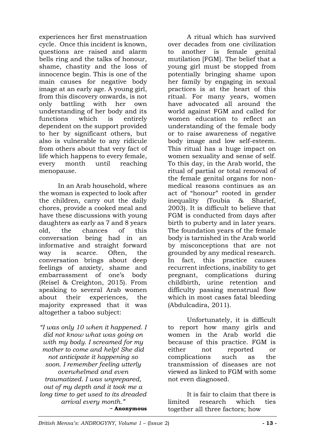experiences her first menstruation cycle. Once this incident is known, questions are raised and alarm bells ring and the talks of honour, shame, chastity and the loss of innocence begin. This is one of the main causes for negative body image at an early age. A young girl, from this discovery onwards, is not only battling with her own understanding of her body and its functions which is entirely dependent on the support provided to her by significant others, but also is vulnerable to any ridicule from others about that very fact of life which happens to every female, every month until reaching menopause.

In an Arab household, where the woman is expected to look after the children, carry out the daily chores, provide a cooked meal and have these discussions with young daughters as early as 7 and 8 years old, the chances of this conversation being had in an informative and straight forward way is scarce. Often, the conversation brings about deep feelings of anxiety, shame and embarrassment of one's body (Reisel & Creighton, 2015). From speaking to several Arab women about their experiences, the majority expressed that it was altogether a taboo subject:

*"I was only 10 when it happened. I did not know what was going on with my body. I screamed for my mother to come and help! She did not anticipate it happening so soon. I remember feeling utterly overwhelmed and even traumatized. I was unprepared, out of my depth and it took me a long time to get used to its dreaded arrival every month."* **~ Anonymous**

A ritual which has survived over decades from one civilization to another is female genital mutilation [FGM]. The belief that a young girl must be stopped from potentially bringing shame upon her family by engaging in sexual practices is at the heart of this ritual. For many years, women have advocated all around the world against FGM and called for women education to reflect an understanding of the female body or to raise awareness of negative body image and low self-esteem. This ritual has a huge impact on women sexuality and sense of self. To this day, in the Arab world, the ritual of partial or total removal of the female genital organs for nonmedical reasons continues as an act of "honour" rooted in gender inequality (Toubia & Sharief, 2003). It is difficult to believe that FGM is conducted from days after birth to puberty and in later years. The foundation years of the female body is tarnished in the Arab world by misconceptions that are not grounded by any medical research. In fact, this practice causes recurrent infections, inability to get pregnant, complications during childbirth, urine retention and difficulty passing menstrual flow which in most cases fatal bleeding (Abdulcadira, 2011).

Unfortunately, it is difficult to report how many girls and women in the Arab world die because of this practice. FGM is either not reported or complications such as the transmission of diseases are not viewed as linked to FGM with some not even diagnosed.

It is fair to claim that there is limited research which ties together all three factors; how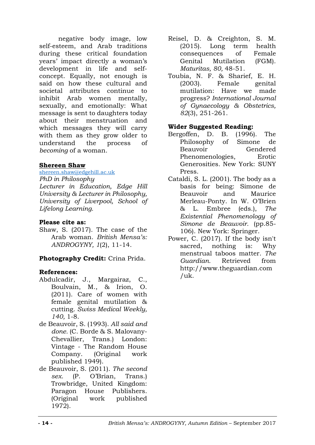negative body image, low self-esteem, and Arab traditions during these critical foundation years' impact directly a woman's development in life and selfconcept. Equally, not enough is said on how these cultural and societal attributes continue to inhibit Arab women mentally, sexually, and emotionally: What message is sent to daughters today about their menstruation and which messages they will carry with them as they grow older to understand the process of *becoming* of a woman.

#### **Shereen Shaw**

[shereen.shaw@edgehill.ac.uk](mailto:shereen.shaw@edgehill.ac.uk)

*PhD in Philosophy Lecturer in Education, Edge Hill University & Lecturer in Philosophy, University of Liverpool, School of Lifelong Learning.*

#### **Please cite as:**

Shaw, S. (2017). The case of the Arab woman. *British Mensa's: ANDROGYNY, 1*(2), 11-14.

#### **Photography Credit:** Crina Prida.

#### **References:**

- Abdulcadir, J., Margairaz, C., Boulvain, M., & Irion, O. (2011). Care of women with female genital mutilation & cutting. *Swiss Medical Weekly, 140,* 1-8.
- de Beauvoir, S. (1993). *All said and done.* (C. Borde & S. Malovany-Chevallier, Trans.) London: Vintage - The Random House Company. (Original work published 1949).
- de Beauvoir, S. (2011). *The second sex.* (P. O'Brian, Trans.) Trowbridge, United Kingdom: Paragon House Publishers. (Original work published 1972).
- Reisel, D. & Creighton, S. M. (2015). Long term health consequences of Female Genital Mutilation (FGM). *Maturitas, 80,* 48-51.
- Toubia, N. F. & Sharief, E. H. (2003). Female genital mutilation: Have we made progress? *International Journal of Gynaecology & Obstetrics, 82*(3), 251-261.

#### **Wider Suggested Reading:**

- Bergoffen, D. B. (1996). The Philosophy of Simone de Beauvoir Gendered Phenomenologies, Erotic Generosities*.* New York: SUNY Press.
- Cataldi, S. L. (2001). The body as a basis for being: Simone de Beauvoir and Maurice Merleau-Ponty. In W. O'Brien & L. Embree (eds.), *The Existential Phenomenology of Simone de Beauvoir.* (pp.85- 106). New York: Springer.
- Power, C. (2017). If the body isn't sacred, nothing is: Why menstrual taboos matter. *The Guardian.* Retrieved from http://www.theguardian.com /uk.